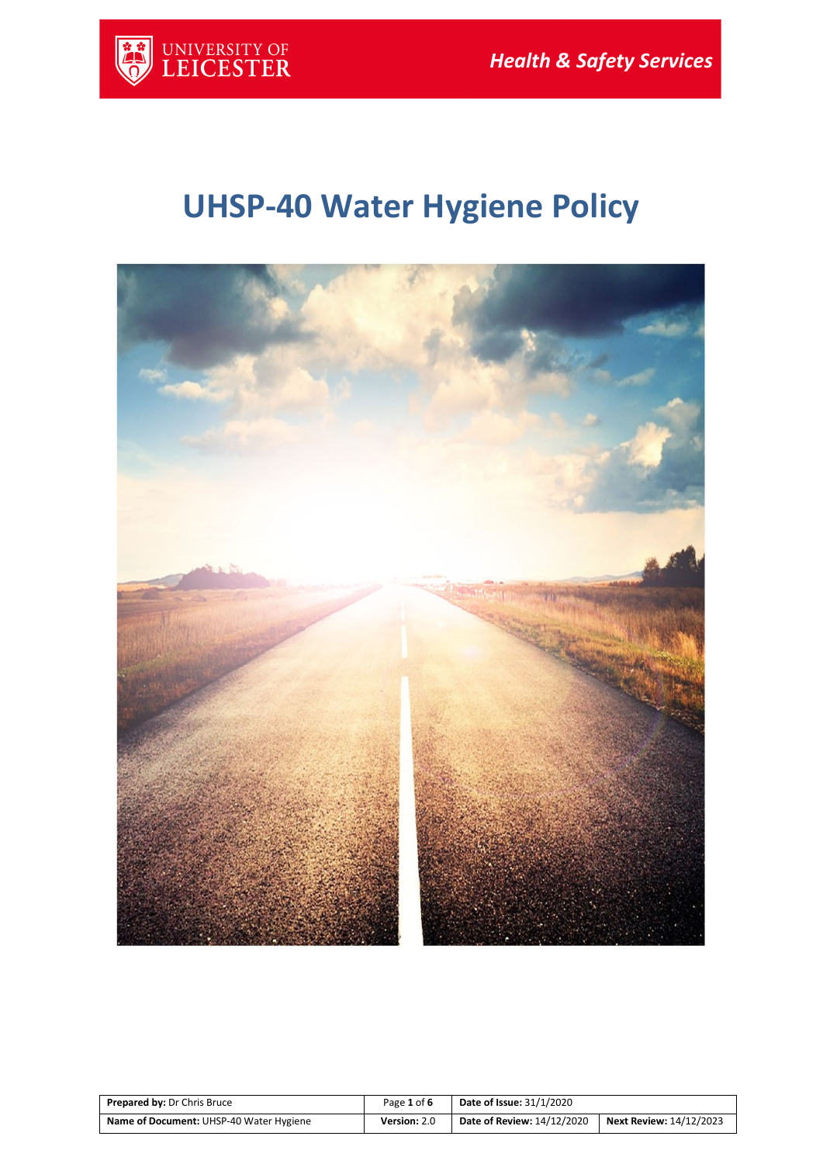

# **UHSP-40 Water Hygiene Policy**



| <b>Prepared by: Dr Chris Bruce</b>      | Page 1 of 6  | <b>Date of Issue: 31/1/2020</b>   |                                |
|-----------------------------------------|--------------|-----------------------------------|--------------------------------|
| Name of Document: UHSP-40 Water Hygiene | Version: 2.0 | <b>Date of Review: 14/12/2020</b> | <b>Next Review: 14/12/2023</b> |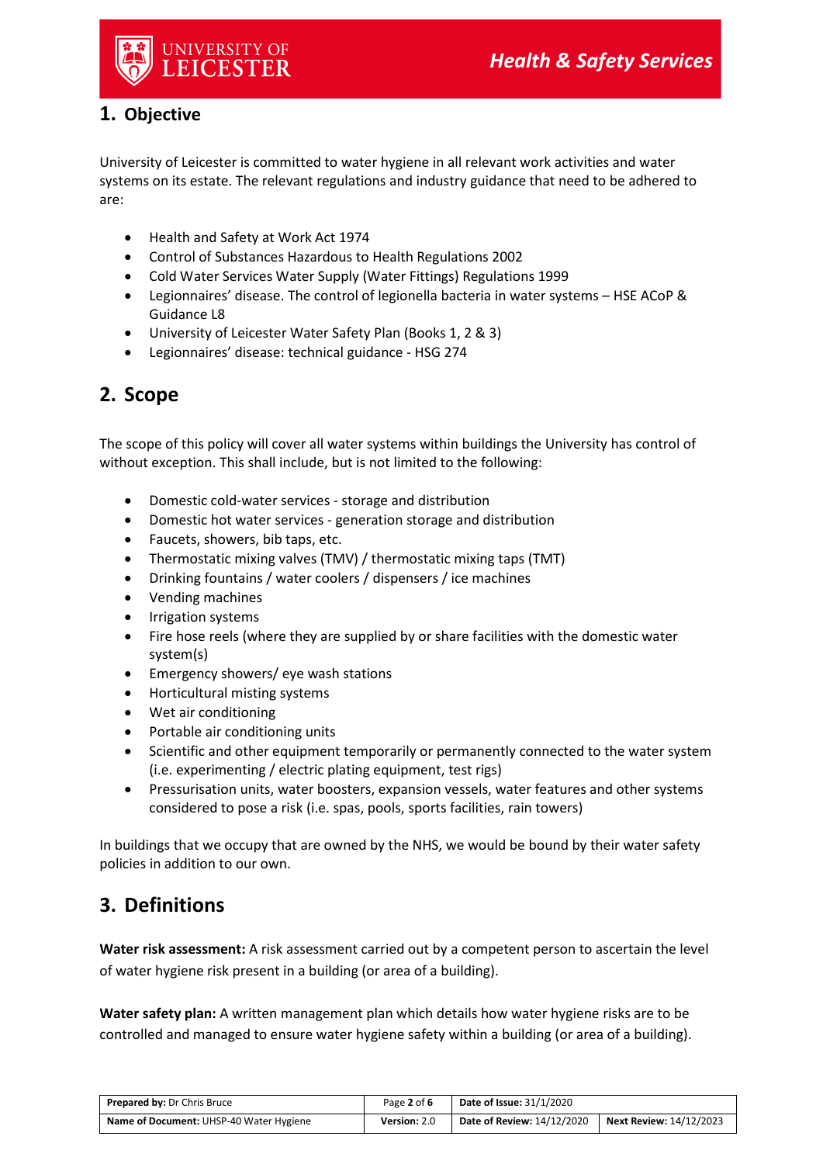

### **1. Objective**

University of Leicester is committed to water hygiene in all relevant work activities and water systems on its estate. The relevant regulations and industry guidance that need to be adhered to are:

- Health and Safety at Work Act 1974
- Control of Substances Hazardous to Health Regulations 2002
- Cold Water Services Water Supply (Water Fittings) Regulations 1999
- Legionnaires' disease. The control of legionella bacteria in water systems HSE ACoP & Guidance L8
- University of Leicester Water Safety Plan (Books 1, 2 & 3)
- Legionnaires' disease: technical guidance HSG 274

## **2. Scope**

The scope of this policy will cover all water systems within buildings the University has control of without exception. This shall include, but is not limited to the following:

- Domestic cold-water services storage and distribution
- Domestic hot water services generation storage and distribution
- Faucets, showers, bib taps, etc.
- Thermostatic mixing valves (TMV) / thermostatic mixing taps (TMT)
- Drinking fountains / water coolers / dispensers / ice machines
- Vending machines
- Irrigation systems
- Fire hose reels (where they are supplied by or share facilities with the domestic water system(s)
- Emergency showers/ eye wash stations
- Horticultural misting systems
- Wet air conditioning
- Portable air conditioning units
- Scientific and other equipment temporarily or permanently connected to the water system (i.e. experimenting / electric plating equipment, test rigs)
- Pressurisation units, water boosters, expansion vessels, water features and other systems considered to pose a risk (i.e. spas, pools, sports facilities, rain towers)

In buildings that we occupy that are owned by the NHS, we would be bound by their water safety policies in addition to our own.

## **3. Definitions**

**Water risk assessment:** A risk assessment carried out by a competent person to ascertain the level of water hygiene risk present in a building (or area of a building).

**Water safety plan:** A written management plan which details how water hygiene risks are to be controlled and managed to ensure water hygiene safety within a building (or area of a building).

| <b>Prepared by: Dr Chris Bruce</b>             | Page 2 of 6  | <b>Date of Issue: 31/1/2020</b> |                         |
|------------------------------------------------|--------------|---------------------------------|-------------------------|
| <b>Name of Document: UHSP-40 Water Hygiene</b> | Version: 2.0 | Date of Review: 14/12/2020      | Next Review: 14/12/2023 |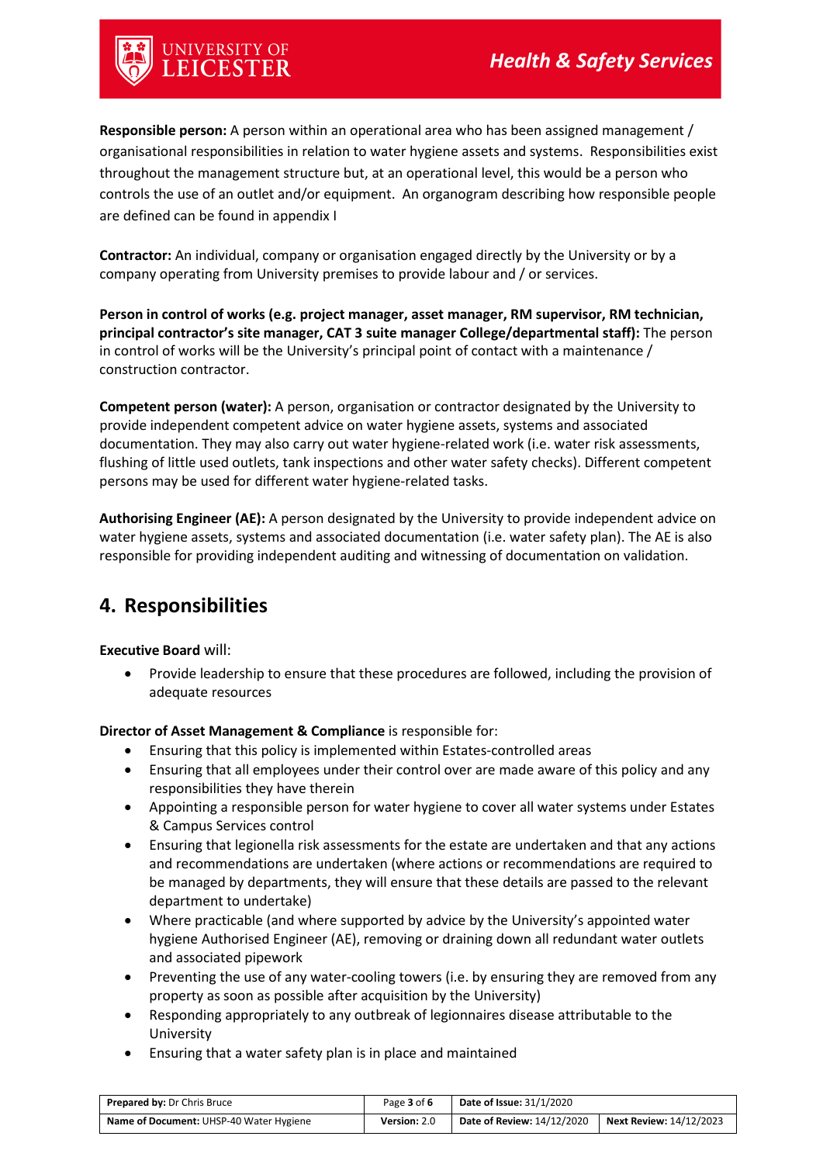# <sup>iniversity of</sup><br>.**EICESTER**

**Responsible person:** A person within an operational area who has been assigned management / organisational responsibilities in relation to water hygiene assets and systems. Responsibilities exist throughout the management structure but, at an operational level, this would be a person who controls the use of an outlet and/or equipment. An organogram describing how responsible people are defined can be found in appendix I

**Contractor:** An individual, company or organisation engaged directly by the University or by a company operating from University premises to provide labour and / or services.

**Person in control of works (e.g. project manager, asset manager, RM supervisor, RM technician, principal contractor's site manager, CAT 3 suite manager College/departmental staff):** The person in control of works will be the University's principal point of contact with a maintenance / construction contractor.

**Competent person (water):** A person, organisation or contractor designated by the University to provide independent competent advice on water hygiene assets, systems and associated documentation. They may also carry out water hygiene-related work (i.e. water risk assessments, flushing of little used outlets, tank inspections and other water safety checks). Different competent persons may be used for different water hygiene-related tasks.

**Authorising Engineer (AE):** A person designated by the University to provide independent advice on water hygiene assets, systems and associated documentation (i.e. water safety plan). The AE is also responsible for providing independent auditing and witnessing of documentation on validation.

## **4. Responsibilities**

**Executive Board** will:

• Provide leadership to ensure that these procedures are followed, including the provision of adequate resources

**Director of Asset Management & Compliance** is responsible for:

- Ensuring that this policy is implemented within Estates-controlled areas
- Ensuring that all employees under their control over are made aware of this policy and any responsibilities they have therein
- Appointing a responsible person for water hygiene to cover all water systems under Estates & Campus Services control
- Ensuring that legionella risk assessments for the estate are undertaken and that any actions and recommendations are undertaken (where actions or recommendations are required to be managed by departments, they will ensure that these details are passed to the relevant department to undertake)
- Where practicable (and where supported by advice by the University's appointed water hygiene Authorised Engineer (AE), removing or draining down all redundant water outlets and associated pipework
- Preventing the use of any water-cooling towers (i.e. by ensuring they are removed from any property as soon as possible after acquisition by the University)
- Responding appropriately to any outbreak of legionnaires disease attributable to the University
- Ensuring that a water safety plan is in place and maintained

| <b>Prepared by: Dr Chris Bruce</b>             | Page 3 of 6  | Date of Issue: $31/1/2020$ |                         |
|------------------------------------------------|--------------|----------------------------|-------------------------|
| <b>Name of Document: UHSP-40 Water Hygiene</b> | Version: 2.0 | Date of Review: 14/12/2020 | Next Review: 14/12/2023 |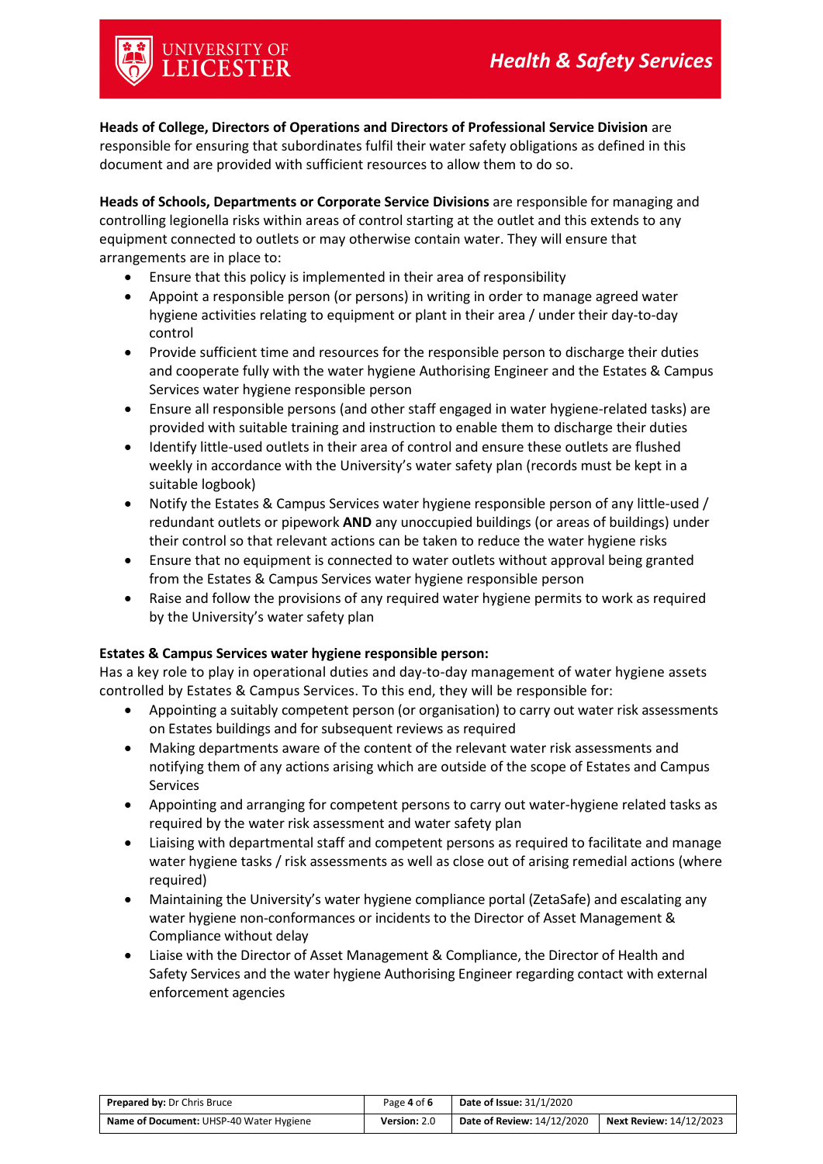**Heads of College, Directors of Operations and Directors of Professional Service Division** are responsible for ensuring that subordinates fulfil their water safety obligations as defined in this document and are provided with sufficient resources to allow them to do so.

**Heads of Schools, Departments or Corporate Service Divisions** are responsible for managing and controlling legionella risks within areas of control starting at the outlet and this extends to any equipment connected to outlets or may otherwise contain water. They will ensure that arrangements are in place to:

- Ensure that this policy is implemented in their area of responsibility
- Appoint a responsible person (or persons) in writing in order to manage agreed water hygiene activities relating to equipment or plant in their area / under their day-to-day control
- Provide sufficient time and resources for the responsible person to discharge their duties and cooperate fully with the water hygiene Authorising Engineer and the Estates & Campus Services water hygiene responsible person
- Ensure all responsible persons (and other staff engaged in water hygiene-related tasks) are provided with suitable training and instruction to enable them to discharge their duties
- Identify little-used outlets in their area of control and ensure these outlets are flushed weekly in accordance with the University's water safety plan (records must be kept in a suitable logbook)
- Notify the Estates & Campus Services water hygiene responsible person of any little-used / redundant outlets or pipework **AND** any unoccupied buildings (or areas of buildings) under their control so that relevant actions can be taken to reduce the water hygiene risks
- Ensure that no equipment is connected to water outlets without approval being granted from the Estates & Campus Services water hygiene responsible person
- Raise and follow the provisions of any required water hygiene permits to work as required by the University's water safety plan

#### **Estates & Campus Services water hygiene responsible person:**

Has a key role to play in operational duties and day-to-day management of water hygiene assets controlled by Estates & Campus Services. To this end, they will be responsible for:

- Appointing a suitably competent person (or organisation) to carry out water risk assessments on Estates buildings and for subsequent reviews as required
- Making departments aware of the content of the relevant water risk assessments and notifying them of any actions arising which are outside of the scope of Estates and Campus Services
- Appointing and arranging for competent persons to carry out water-hygiene related tasks as required by the water risk assessment and water safety plan
- Liaising with departmental staff and competent persons as required to facilitate and manage water hygiene tasks / risk assessments as well as close out of arising remedial actions (where required)
- Maintaining the University's water hygiene compliance portal (ZetaSafe) and escalating any water hygiene non-conformances or incidents to the Director of Asset Management & Compliance without delay
- Liaise with the Director of Asset Management & Compliance, the Director of Health and Safety Services and the water hygiene Authorising Engineer regarding contact with external enforcement agencies

| <b>Prepared by: Dr Chris Bruce</b>      | Page 4 of 6  | <b>Date of Issue: 31/1/2020</b>   |                                |
|-----------------------------------------|--------------|-----------------------------------|--------------------------------|
| Name of Document: UHSP-40 Water Hygiene | Version: 2.0 | <b>Date of Review: 14/12/2020</b> | <b>Next Review: 14/12/2023</b> |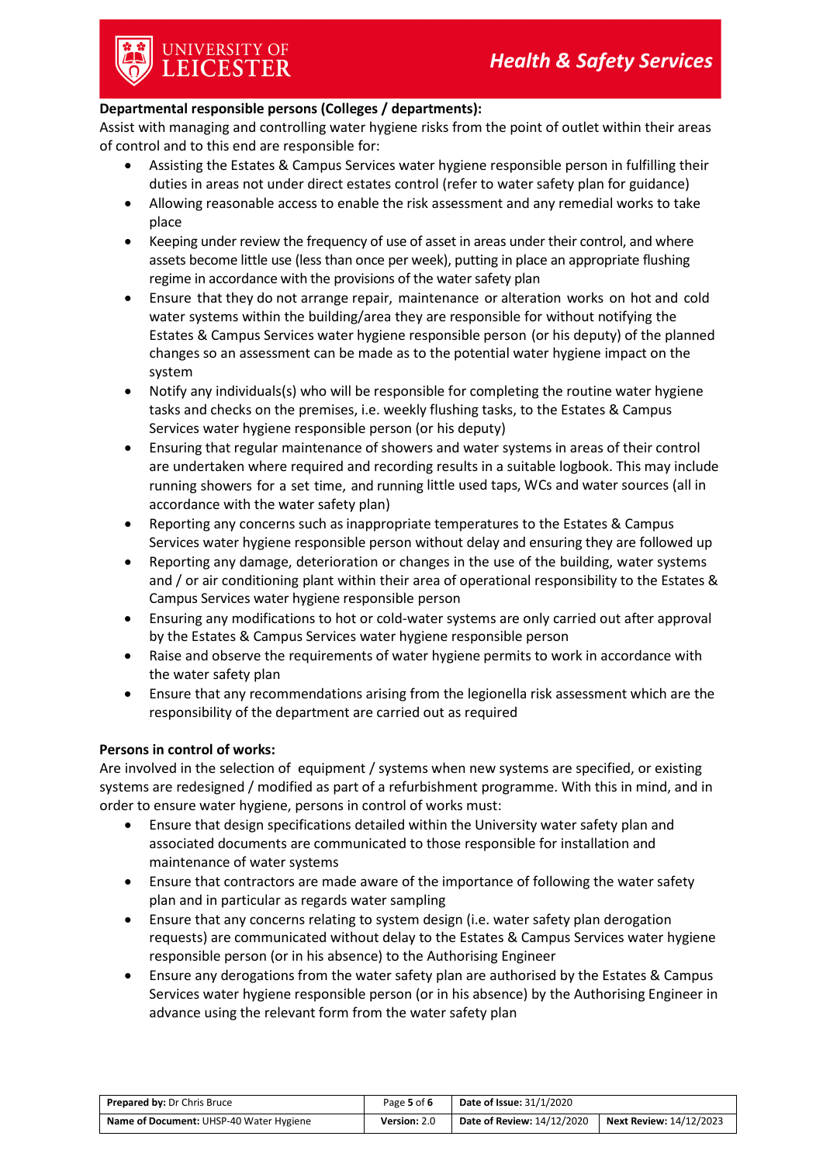# university of<br>**LEICESTER**

#### **Departmental responsible persons (Colleges / departments):**

Assist with managing and controlling water hygiene risks from the point of outlet within their areas of control and to this end are responsible for:

- Assisting the Estates & Campus Services water hygiene responsible person in fulfilling their duties in areas not under direct estates control (refer to water safety plan for guidance)
- Allowing reasonable access to enable the risk assessment and any remedial works to take place
- Keeping under review the frequency of use of asset in areas under their control, and where assets become little use (less than once per week), putting in place an appropriate flushing regime in accordance with the provisions of the water safety plan
- Ensure that they do not arrange repair, maintenance or alteration works on hot and cold water systems within the building/area they are responsible for without notifying the Estates & Campus Services water hygiene responsible person (or his deputy) of the planned changes so an assessment can be made as to the potential water hygiene impact on the system
- Notify any individuals(s) who will be responsible for completing the routine water hygiene tasks and checks on the premises, i.e. weekly flushing tasks, to the Estates & Campus Services water hygiene responsible person (or his deputy)
- Ensuring that regular maintenance of showers and water systems in areas of their control are undertaken where required and recording results in a suitable logbook. This may include running showers for a set time, and running little used taps, WCs and water sources (all in accordance with the water safety plan)
- Reporting any concerns such as inappropriate temperatures to the Estates & Campus Services water hygiene responsible person without delay and ensuring they are followed up
- Reporting any damage, deterioration or changes in the use of the building, water systems and / or air conditioning plant within their area of operational responsibility to the Estates & Campus Services water hygiene responsible person
- Ensuring any modifications to hot or cold-water systems are only carried out after approval by the Estates & Campus Services water hygiene responsible person
- Raise and observe the requirements of water hygiene permits to work in accordance with the water safety plan
- Ensure that any recommendations arising from the legionella risk assessment which are the responsibility of the department are carried out as required

#### **Persons in control of works:**

Are involved in the selection of equipment / systems when new systems are specified, or existing systems are redesigned / modified as part of a refurbishment programme. With this in mind, and in order to ensure water hygiene, persons in control of works must:

- Ensure that design specifications detailed within the University water safety plan and associated documents are communicated to those responsible for installation and maintenance of water systems
- Ensure that contractors are made aware of the importance of following the water safety plan and in particular as regards water sampling
- Ensure that any concerns relating to system design (i.e. water safety plan derogation requests) are communicated without delay to the Estates & Campus Services water hygiene responsible person (or in his absence) to the Authorising Engineer
- Ensure any derogations from the water safety plan are authorised by the Estates & Campus Services water hygiene responsible person (or in his absence) by the Authorising Engineer in advance using the relevant form from the water safety plan

| <b>Prepared by: Dr Chris Bruce</b>      | Page 5 of 6  | <b>Date of Issue: 31/1/2020</b> |                                |
|-----------------------------------------|--------------|---------------------------------|--------------------------------|
| Name of Document: UHSP-40 Water Hygiene | Version: 2.0 | Date of Review: 14/12/2020      | <b>Next Review: 14/12/2023</b> |